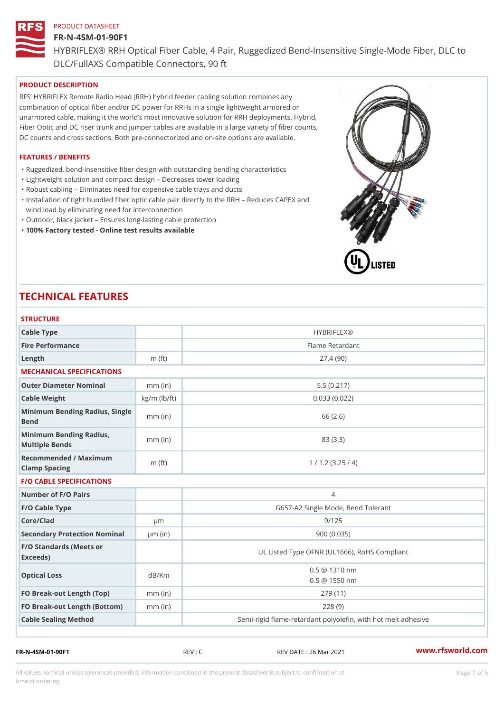#### FR-N-4SM-01-90F1

HYBRIFLEX® RRH Optical Fiber Cable, 4 Pair, Ruggedized Bend-Insens DLC/FullAXS Compatible Connectors, 90 ft

### PRODUCT DESCRIPTION

RFS HYBRIFLEX Remote Radio Head (RRH) hybrid feeder cabling solution combines any combination of optical fiber and/or DC power for RRHs in a single lightweight armored or unarmored cable, making it the world s most innovative solution for RRH deployments. Hybrid, Fiber Optic and DC riser trunk and jumper cables are available in a large variety of fiber counts, DC counts and cross sections. Both pre-connectorized and on-site options are available.

#### FEATURES / BENEFITS

"Ruggedized, bend-insensitive fiber design with outstanding bending characteristics

- "Lightweight solution and compact design Decreases tower loading
- "Robust cabling Eliminates need for expensive cable trays and ducts
- "Installation of tight bundled fiber optic cable pair directly to the RRH Aeduces CAPEX and wind load by eliminating need for interconnection
- "Outdoor, black jacket Ensures long-lasting cable protection
- "100% Factory tested Online test results available

# TECHNICAL FEATURES

| <b>STRUCTURE</b>                                  |                    |                                                          |
|---------------------------------------------------|--------------------|----------------------------------------------------------|
| Cable Type                                        |                    | <b>HYBRIFLEX®</b>                                        |
| Fire Performance                                  |                    | Flame Retardant                                          |
| $L$ ength                                         | m $(ft)$           | 27.4(90)                                                 |
| MECHANICAL SPECIFICATIONS                         |                    |                                                          |
| Outer Diameter Nominal                            | $mm$ (in)          | 5.5(0.217)                                               |
| Cable Weight                                      | $kg/m$ ( $lb/ft$ ) | 0.033(0.022)                                             |
| Minimum Bending Radius, Single<br>Bend            |                    | 66 (2.6)                                                 |
| Minimum Bending Radius, mm (in)<br>Multiple Bends |                    | 83 (3.3)                                                 |
| Recommended / Maximum<br>Clamp Spacing            | $m$ (ft)           | 1 / 1.2 (3.25 / 4)                                       |
| <b>F/O CABLE SPECIFICATIONS</b>                   |                    |                                                          |
| Number of F/O Pairs                               |                    | $\overline{4}$                                           |
| F/O Cable Type                                    |                    | G657-A2 Single Mode, Bend Tolerant                       |
| Core/Clad                                         | $\mu$ m            | 9/125                                                    |
| Secondary Protection Nomimal(in)                  |                    | 900 (0.035)                                              |
| F/O Standards (Meets or<br>Exceeds)               |                    | UL Listed Type OFNR (UL1666), RoHS Compliant             |
| Optical Loss                                      | dB/Km              | $0.5 \t@ 1310 nm$<br>0.5 @ 1550 nm                       |
| FO Break-out Length (Top)mm (in)                  |                    | 279 (11)                                                 |
| FO Break-out Length (Bottmomm) (in)               |                    | 228(9)                                                   |
| Cable Sealing Method                              |                    | Semi-rigid flame-retardant polyolefin, with hot melt adl |

FR-N-4SM-01-90F1 REV : C REV DATE : 26 Mar 2021 [www.](https://www.rfsworld.com)rfsworld.com

All values nominal unless tolerances provided; information contained in the present datasheet is subject to Pcapgeight Stid time of ordering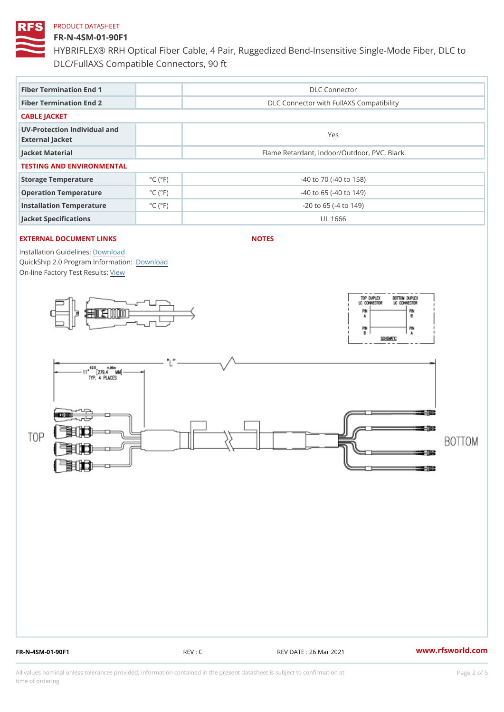### FR-N-4SM-01-90F1

HYBRIFLEX® RRH Optical Fiber Cable, 4 Pair, Ruggedized Bend-Insens DLC/FullAXS Compatible Connectors, 90 ft

| Fiber Termination End 1                         |                             | DLC Connector                               |  |  |  |  |
|-------------------------------------------------|-----------------------------|---------------------------------------------|--|--|--|--|
| Fiber Termination End 2                         |                             | DLC Connector with FullAXS Compatibility    |  |  |  |  |
| CABLE JACKET                                    |                             |                                             |  |  |  |  |
| UV-Protection Individual and<br>External Jacket |                             | Yes                                         |  |  |  |  |
| Jacket Material                                 |                             | Flame Retardant, Indoor/Outdoor, PVC, Black |  |  |  |  |
| TESTING AND ENVIRONMENTAL                       |                             |                                             |  |  |  |  |
| Storage Temperature                             | $^{\circ}$ C ( $^{\circ}$ F | $-40$ to $70$ ( $-40$ to $158$ )            |  |  |  |  |
| Operation Temperature                           | $^{\circ}$ C ( $^{\circ}$ F | $-40$ to 65 ( $-40$ to 149)                 |  |  |  |  |
| Installation Temperature                        | $^{\circ}$ C ( $^{\circ}$ F | $-20$ to 65 ( $-4$ to 149)                  |  |  |  |  |
| Jacket Specifications                           |                             | UL 1666                                     |  |  |  |  |

## EXTERNAL DOCUMENT LINKS

NOTES

Installation Guidelwinessad QuickShip 2.0 Program [Informa](http://www.rfsworld.com/images/hybriflex/quickship_program_2.pdf)tion: On-line Factory Te[s](https://www.rfsworld.com/pictures/userfiles/programs/AAST Latest Version.zip)teResults:

FR-N-4SM-01-90F1 REV : C REV DATE : 26 Mar 2021 [www.](https://www.rfsworld.com)rfsworld.com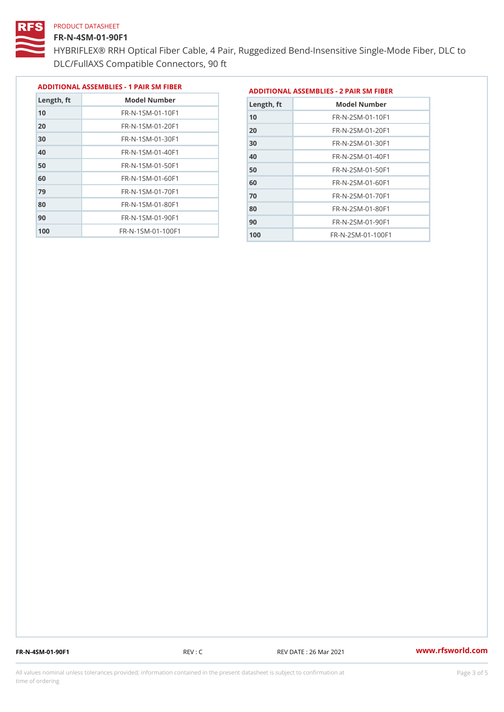#### FR-N-4SM-01-90F1

 FR-N-1SM-01-80F1 FR-N-1SM-01-90F1 FR-N-1SM-01-100F1

HYBRIFLEX® RRH Optical Fiber Cable, 4 Pair, Ruggedized Bend-Insens DLC/FullAXS Compatible Connectors, 90 ft

> FR-N-2SM-01-70F1 FR-N-2SM-01-80F1 FR-N-2SM-01-90F1 FR-N-2SM-01-100F1

|            |                                |               | ADDITIONAL ASSEMBLIES - 1 PAIR SM FIBERDDITIONAL ASSEMBLIES - 2 PAIR SM FIBER |
|------------|--------------------------------|---------------|-------------------------------------------------------------------------------|
| Length, ft | Model Number                   | $L$ ength, ft | Model Number                                                                  |
| 10         | $FR - N - 1 SM - 01 - 10F1$    | 10            | FR-N-2SM-01-10F1                                                              |
| 20         | $FR - N - 1 SM - 01 - 20 F1$   | 20            | $FR - N - 2 SM - 01 - 20 F1$                                                  |
| 30         | FR-N-1SM-01-30F1               | 30            | $FR - N - 2 SM - 01 - 30 F1$                                                  |
| 40         | $FR - N - 1 SM - 01 - 40 F1$   | 40            | FR-N-2SM-01-40F1                                                              |
| 50         | $FR - N - 1$ S M - 01 - 50 F 1 | 50            | FR-N-2SM-01-50F1                                                              |
| 60         | $FR - N - 1 SM - 01 - 60 F1$   | 60            | $FR - N - 2 SM - 01 - 60 F1$                                                  |
| 79         | $FR - N - 1 SM - 01 - 70F1$    | $ -$          | --  - . - .                                                                   |

FR-N-4SM-01-90F1 REV : C REV DATE : 26 Mar 2021 [www.](https://www.rfsworld.com)rfsworld.com

All values nominal unless tolerances provided; information contained in the present datasheet is subject to Pcapgeling that i time of ordering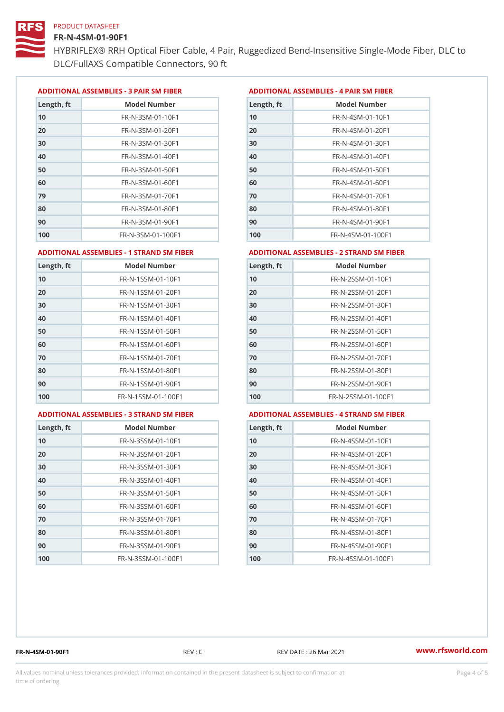#### FR-N-4SM-01-90F1

HYBRIFLEX® RRH Optical Fiber Cable, 4 Pair, Ruggedized Bend-Insens DLC/FullAXS Compatible Connectors, 90 ft

ADDITIONAL ASSEMBLIES - 3 PAIR SM FIBERED DITIONAL ASSEMBLIES - 4 PAIR SM FIBER

| Length, ft | Model Number                  |
|------------|-------------------------------|
| 10         | $FR - N - 3 S M - 01 - 10 F1$ |
| 20         | FR-N-3SM-01-20F1              |
| 30         | FR-N-3SM-01-30F1              |
| 40         | FR-N-3SM-01-40F1              |
| 50         | $FR - N - 3 S M - 01 - 50 F1$ |
| 60         | $FR - N - 3 S M - 01 - 60 F1$ |
| 79         | $FR - N - 3 S M - 01 - 70 F1$ |
| 80         | $FR - N - 3 S M - 01 - 80 F1$ |
| 90         | FR-N-3SM-01-90F1              |
| 100        | FR-N-3SM-01-100F1             |

| Length, ft | Model Number                   |
|------------|--------------------------------|
| 10         | $FR - N - 4$ S M - 01 - 10 F 1 |
| 20         | $FR - N - 4 SM - 01 - 20 F1$   |
| 30         | $FR - N - 4 S M - 01 - 30 F1$  |
| 40         | FR-N-4SM-01-40F1               |
| 50         | FR-N-4SM-01-50F1               |
| 60         | $FR - N - 4 S M - 01 - 60 F1$  |
| 70         | FR-N-4SM-01-70F1               |
| 80         | $FR - N - 4 S M - 01 - 80 F1$  |
| 90         | FR-N-4SM-01-90F1               |
| 100        | $FR - N - 4 S M - 01 - 100 F1$ |

#### ADDITIONAL ASSEMBLIES - 1 STRAND SM FABSDRTIONAL ASSEMBLIES - 2 STRAND SM FIBER

| 10<br>FR-N-1SSM-01-10F1<br>10<br>FR-N-2SSM-01-10F1<br>FR-N-1SSM-01-20F1<br>20<br>$FR - N - 2SSM - 01 - 20F1$<br>30<br>FR-N-1SSM-01-30F1<br>FR-N-2SSM-01-30F1<br>$FR - N - 1$ S S M - 01 - 40 F 1<br>40<br>$FR - N - 2SSM - 01 - 40F1$<br>FR-N-1SSM-01-50F1<br>FR-N-2SSM-01-50F1<br>50<br>FR-N-1SSM-01-60F1<br>60<br>$FR - N - 2SSM - 01 - 60F1$ |
|-------------------------------------------------------------------------------------------------------------------------------------------------------------------------------------------------------------------------------------------------------------------------------------------------------------------------------------------------|
| 20<br>30                                                                                                                                                                                                                                                                                                                                        |
|                                                                                                                                                                                                                                                                                                                                                 |
| 40<br>50<br>60                                                                                                                                                                                                                                                                                                                                  |
|                                                                                                                                                                                                                                                                                                                                                 |
|                                                                                                                                                                                                                                                                                                                                                 |
|                                                                                                                                                                                                                                                                                                                                                 |
| 70<br>$FR - N - 1$ S S M - 01 - 70 F 1<br>70<br>$FR - N - 2SSM - 01 - 70F1$                                                                                                                                                                                                                                                                     |
| 80<br>80<br>FR-N-1SSM-01-80F1<br>FR-N-2SSM-01-80F1                                                                                                                                                                                                                                                                                              |
| 90<br>FR-N-1SSM-01-90F1<br>FR-N-2SSM-01-90F1<br>90                                                                                                                                                                                                                                                                                              |
| FR-N-1SSM-01-100F1<br>FR-N-2SSM-01-100F1<br>100<br>100                                                                                                                                                                                                                                                                                          |

#### ADDITIONAL ASSEMBLIES - 3 STRAND SM FABSDRTIONAL ASSEMBLIES - 4 STRAND SM FIBER

| L ASSEMBLIES - 4 STRAND SM FIE |  |  |  |
|--------------------------------|--|--|--|
|                                |  |  |  |

| Length, ft | Model Number                    |
|------------|---------------------------------|
| 10         | $FR - N - 3 S S M - 01 - 10 F1$ |
| 20         | FR-N-3SSM-01-20F1               |
| 30         | FR-N-3SSM-01-30F1               |
| 40         | FR-N-3SSM-01-40F1               |
| 50         | $FR - N - 3 S S M - 01 - 50 F1$ |
| 60         | $FR - N - 3 S S M - 01 - 60 F1$ |
| 70         | $FR - N - 3 S S M - 01 - 70 F1$ |
| 80         | FR-N-3SSM-01-80F1               |
| 90         | FR-N-3SSM-01-90F1               |
| 100        | FR-N-3SSM-01-100F1              |

| Length, ft | Model Number                     |
|------------|----------------------------------|
| 10         | $FR - N - 4$ S S M - 01 - 10 F 1 |
| 20         | FR-N-4SSM-01-20F1                |
| 30         | $FR - N - 4$ S S M - 01 - 30 F 1 |
| 40         | $FR - N - 4$ S S M - 01 - 40 F 1 |
| 50         | $FR - N - 4$ S S M - 01 - 50 F 1 |
| 60         | FR-N-4SSM-01-60F1                |
| 70         | $FR - N - 4 S S M - 01 - 70 F1$  |
| 80         | FR-N-4SSM-01-80F1                |
| 90         | FR-N-4SSM-01-90F1                |
| 100        | FR-N-4SSM-01-100F1               |

FR-N-4SM-01-90F1 REV : C REV DATE : 26 Mar 2021 [www.](https://www.rfsworld.com)rfsworld.com

All values nominal unless tolerances provided; information contained in the present datasheet is subject to Pcapgnéig4m ssti time of ordering